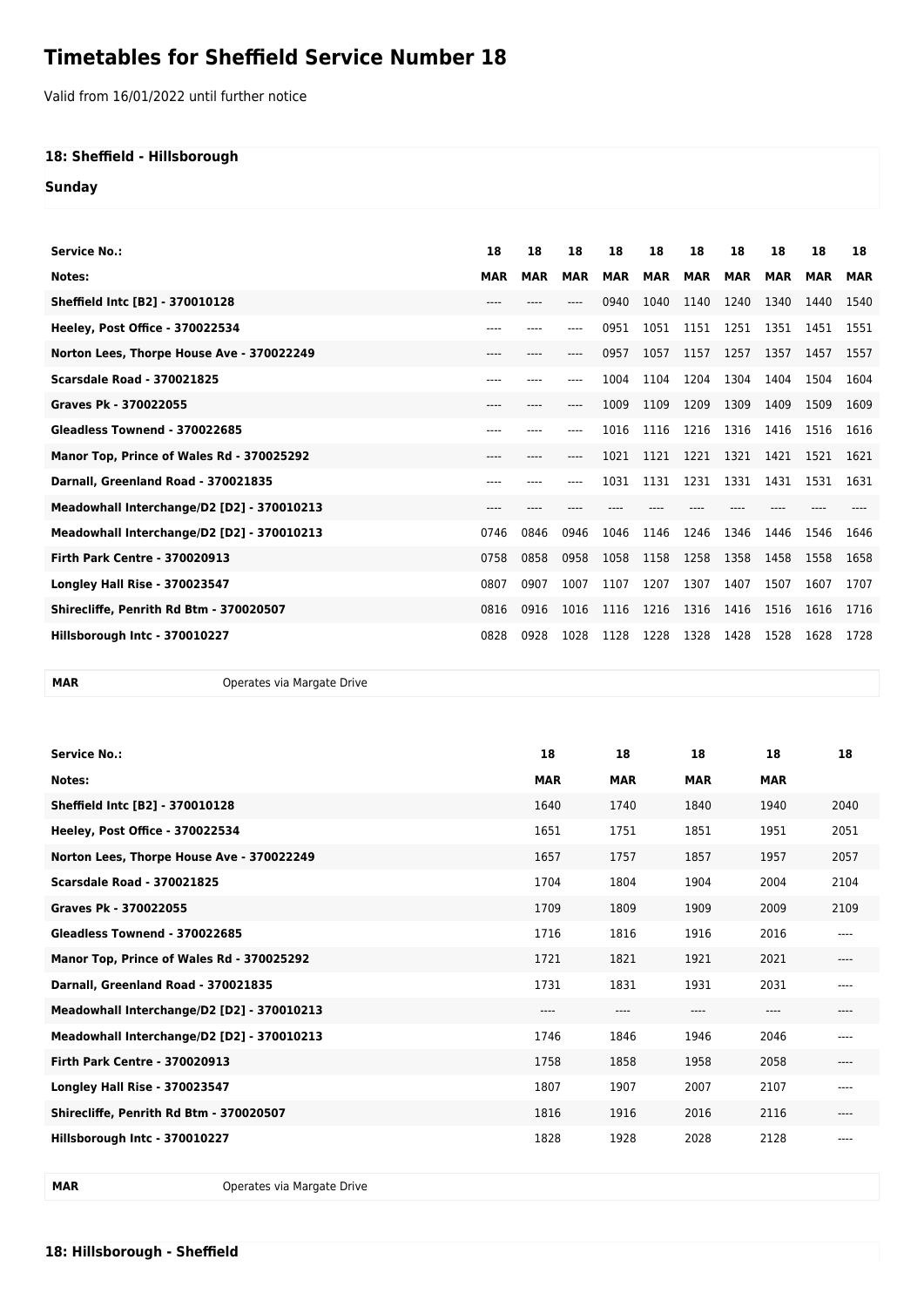## **Timetables for Sheffield Service Number 18**

Valid from 16/01/2022 until further notice

## **18: Sheffield - Hillsborough**

**Sunday**

| Service No.:                               | 18         | 18         | 18         | 18         | 18         | 18         | 18         | 18         | 18         | 18         |
|--------------------------------------------|------------|------------|------------|------------|------------|------------|------------|------------|------------|------------|
| Notes:                                     | <b>MAR</b> | <b>MAR</b> | <b>MAR</b> | <b>MAR</b> | <b>MAR</b> | <b>MAR</b> | <b>MAR</b> | <b>MAR</b> | <b>MAR</b> | <b>MAR</b> |
| Sheffield Intc [B2] - 370010128            | ---        |            |            | 0940       | 1040       | 1140       | 1240       | 1340       | 1440       | 1540       |
| Heeley, Post Office - 370022534            | ----       | $---$      | ----       | 0951       | 1051       | 1151       | 1251       | 1351       | 1451       | 1551       |
| Norton Lees, Thorpe House Ave - 370022249  | ----       | $- - - -$  | ----       | 0957       | 1057       | 1157       | 1257       | 1357       | 1457       | 1557       |
| <b>Scarsdale Road - 370021825</b>          | $---$      | ----       | ----       | 1004       | 1104       | 1204       | 1304       | 1404       | 1504       | 1604       |
| Graves Pk - 370022055                      | ----       |            | ----       | 1009       | 1109       | 1209       | 1309       | 1409       | 1509       | 1609       |
| Gleadless Townend - 370022685              | ----       |            | ----       | 1016       | 1116       | 1216       | 1316       | 1416       | 1516       | 1616       |
| Manor Top, Prince of Wales Rd - 370025292  | ----       |            |            | 1021       | 1121       | 1221       | 1321       | 1421       | 1521       | 1621       |
| Darnall, Greenland Road - 370021835        | ----       |            |            | 1031       | 1131       | 1231       | 1331       | 1431       | 1531       | 1631       |
| Meadowhall Interchange/D2 [D2] - 370010213 | ----       |            |            |            |            |            |            |            |            |            |
| Meadowhall Interchange/D2 [D2] - 370010213 | 0746       | 0846       | 0946       | 1046       | 1146       | 1246       | 1346       | 1446       | 1546       | 1646       |
| <b>Firth Park Centre - 370020913</b>       | 0758       | 0858       | 0958       | 1058       | 1158       | 1258       | 1358       | 1458       | 1558       | 1658       |
| <b>Longley Hall Rise - 370023547</b>       | 0807       | 0907       | 1007       | 1107       | 1207       | 1307       | 1407       | 1507       | 1607       | 1707       |
| Shirecliffe, Penrith Rd Btm - 370020507    | 0816       | 0916       | 1016       | 1116       | 1216       | 1316       | 1416       | 1516       | 1616       | 1716       |
| Hillsborough Intc - 370010227              | 0828       | 0928       | 1028       | 1128       | 1228       | 1328       | 1428       | 1528       | 1628       | 1728       |

**MAR** Operates via Margate Drive

| <b>Service No.:</b>                        | 18         | 18         | 18         | 18         | 18        |
|--------------------------------------------|------------|------------|------------|------------|-----------|
| Notes:                                     | <b>MAR</b> | <b>MAR</b> | <b>MAR</b> | <b>MAR</b> |           |
| Sheffield Intc [B2] - 370010128            | 1640       | 1740       | 1840       | 1940       | 2040      |
| Heeley, Post Office - 370022534            | 1651       | 1751       | 1851       | 1951       | 2051      |
| Norton Lees, Thorpe House Ave - 370022249  | 1657       | 1757       | 1857       | 1957       | 2057      |
| <b>Scarsdale Road - 370021825</b>          | 1704       | 1804       | 1904       | 2004       | 2104      |
| Graves Pk - 370022055                      | 1709       | 1809       | 1909       | 2009       | 2109      |
| Gleadless Townend - 370022685              | 1716       | 1816       | 1916       | 2016       | ----      |
| Manor Top, Prince of Wales Rd - 370025292  | 1721       | 1821       | 1921       | 2021       | $- - - -$ |
| Darnall, Greenland Road - 370021835        | 1731       | 1831       | 1931       | 2031       | ----      |
| Meadowhall Interchange/D2 [D2] - 370010213 | ----       | $---$      | ----       | ----       | $- - - -$ |
| Meadowhall Interchange/D2 [D2] - 370010213 | 1746       | 1846       | 1946       | 2046       | $- - - -$ |
| <b>Firth Park Centre - 370020913</b>       | 1758       | 1858       | 1958       | 2058       | $- - - -$ |
| <b>Longley Hall Rise - 370023547</b>       | 1807       | 1907       | 2007       | 2107       | $---$     |
| Shirecliffe, Penrith Rd Btm - 370020507    | 1816       | 1916       | 2016       | 2116       | ----      |
| Hillsborough Intc - 370010227              | 1828       | 1928       | 2028       | 2128       |           |

**MAR** Operates via Margate Drive